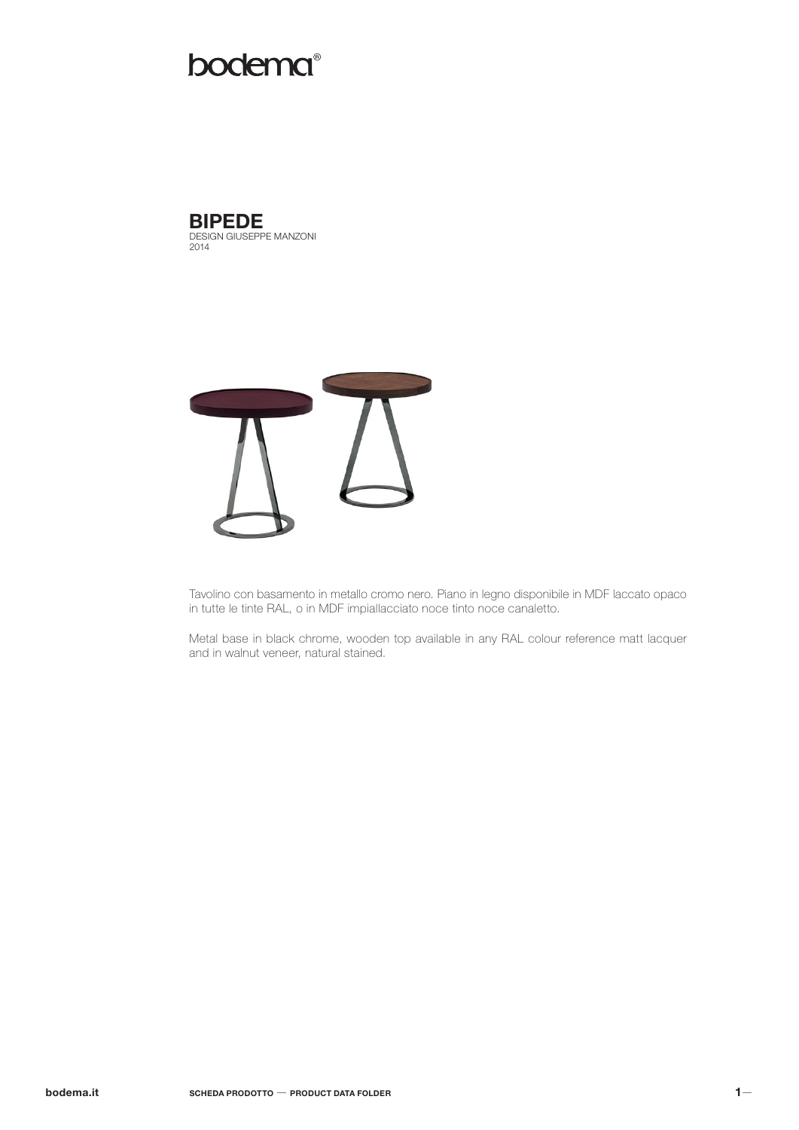# **bodema**®



DESIGN GIUSEPPE MANZONI 2014



Tavolino con basamento in metallo cromo nero. Piano in legno disponibile in MDF laccato opaco in tutte le tinte RAL, o in MDF impiallacciato noce tinto noce canaletto.

Metal base in black chrome, wooden top available in any RAL colour reference matt lacquer and in walnut veneer, natural stained.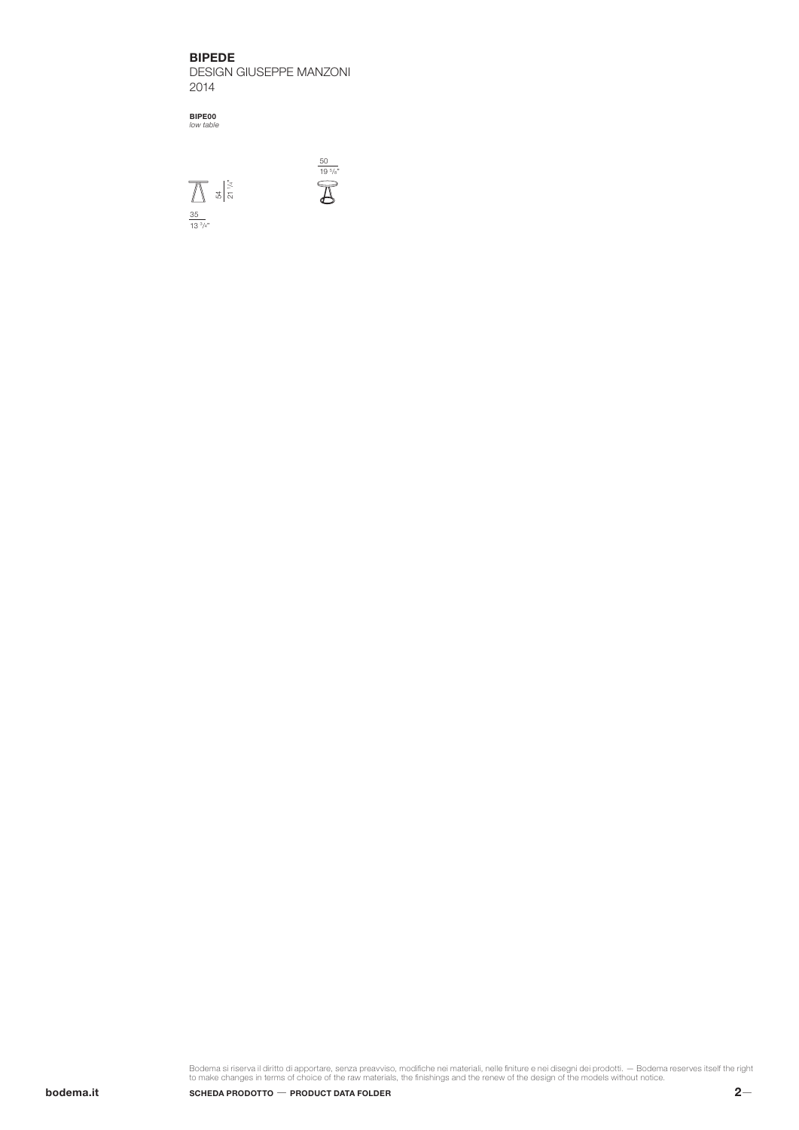BIPEDE

DESIGN GIUSEPPE MANZONI 2014

50

19 5 /8"

BIPE00 *low table*



Bodema si riserva il diritto di apportare, senza preavviso, modifiche nei materiali, nelle finiture e nei disegni dei prodotti. — Bodema reserves itself the right<br>to make changes in terms of choice of the raw materials, th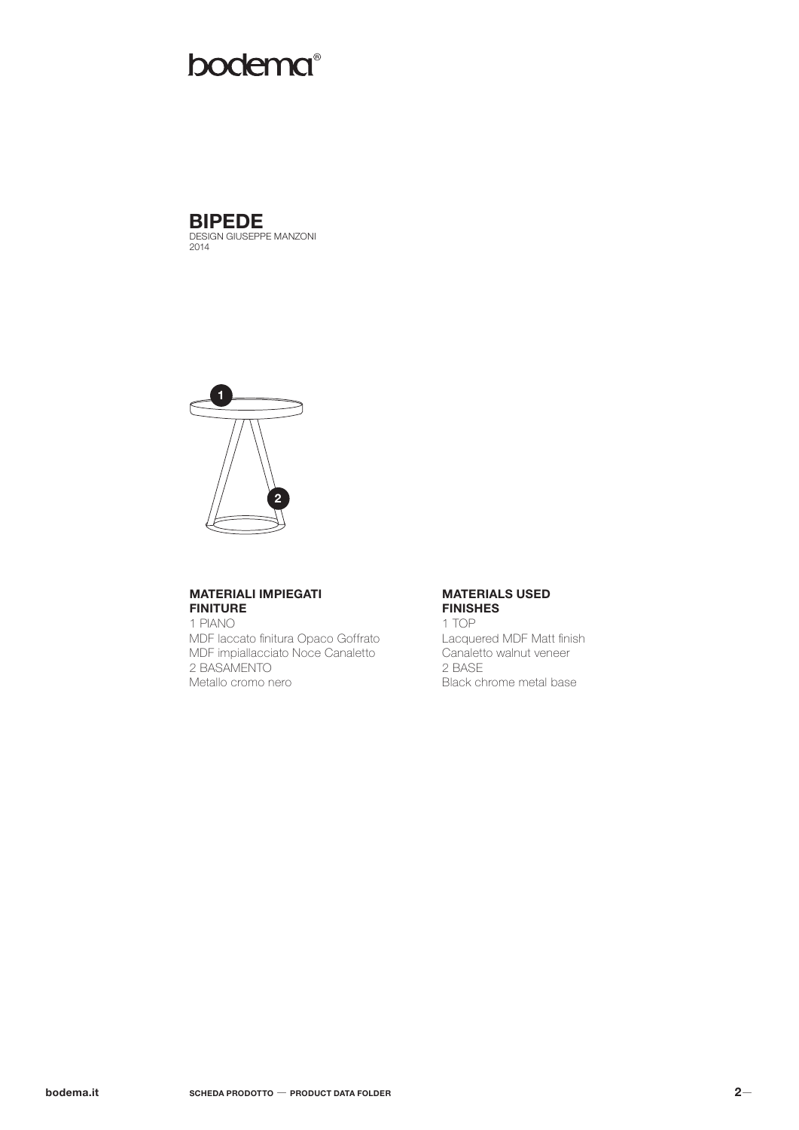# **bodema**®



**BIPEDE**<br>DESIGN GIUSEPPE MANZONI<br>2014



# **MATERIALI IMPIEGATI FINITURE**

1 PIANO MDF laccato finitura Opaco Goffrato MDF impiallacciato Noce Canaletto 2 BASAMENTO Metallo cromo nero

### **MATERIALS USED FINISHES**

1 TOP Lacquered MDF Matt finish Canaletto walnut veneer 2 BASE Black chrome metal base